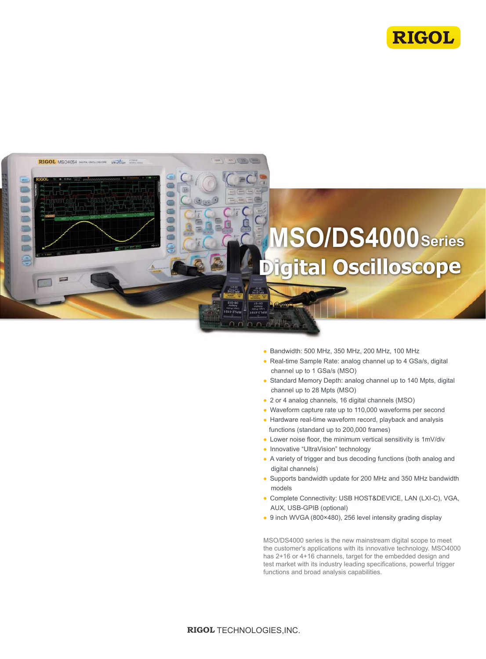



- Bandwidth: 500 MHz, 350 MHz, 200 MHz, 100 MHz
- Real-time Sample Rate: analog channel up to 4 GSa/s, digital channel up to 1 GSa/s (MSO)
- Standard Memory Depth: analog channel up to 140 Mpts, digital channel up to 28 Mpts (MSO)
- 2 or 4 analog channels, 16 digital channels (MSO)
- Waveform capture rate up to 110,000 waveforms per second
- Hardware real-time waveform record, playback and analysis functions (standard up to 200,000 frames)
- Lower noise floor, the minimum vertical sensitivity is 1mV/div
- Innovative "UltraVision" technology
- A variety of trigger and bus decoding functions (both analog and digital channels)
- Supports bandwidth update for 200 MHz and 350 MHz bandwidth models
- Complete Connectivity: USB HOST&DEVICE, LAN (LXI-C), VGA, AUX, USB-GPIB (optional)
- 9 inch WVGA (800×480), 256 level intensity grading display

MSO/DS4000 series is the new mainstream digital scope to meet the customer's applications with its innovative technology. MSO4000 has 2+16 or 4+16 channels, target for the embedded design and test market with its industry leading specifications, powerful trigger functions and broad analysis capabilities.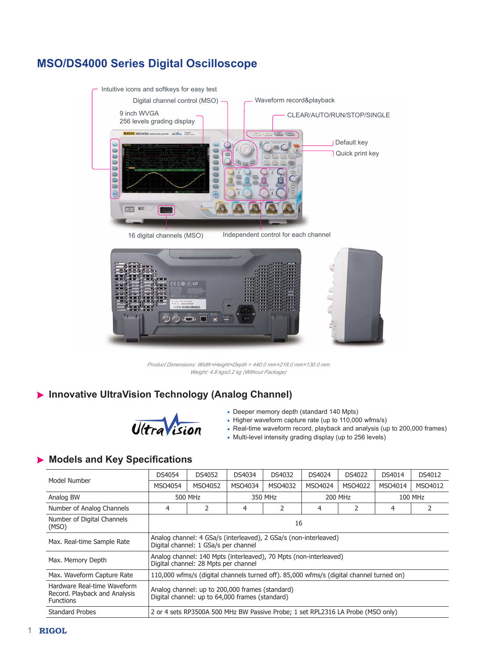# **MSO/DS4000 Series Digital Oscilloscope**



*Product Dimensions: Width×Height×Depth = 440.0 mm×218.0 mm×130.0 mm Weight: 4.8 kg±0.2 kg (Without Package)*

# **Innovative UltraVision Technology (Analog Channel)**



- Deeper memory depth (standard 140 Mpts)
- Higher waveform capture rate (up to 110,000 wfms/s)
- Real-time waveform record, playback and analysis (up to 200,000 frames)
- Multi-level intensity grading display (up to 256 levels)

# **Models and Key Specifications**

| Model Number                                                                     | DS4054                                                                                                    | DS4052  | DS4034  | DS4032  | DS4024  | DS4022  | DS4014         | DS4012  |
|----------------------------------------------------------------------------------|-----------------------------------------------------------------------------------------------------------|---------|---------|---------|---------|---------|----------------|---------|
|                                                                                  | MSO4054                                                                                                   | MSO4052 | MSO4034 | MSO4032 | MSO4024 | MSO4022 | MSO4014        | MSO4012 |
| Analog BW                                                                        | 500 MHz                                                                                                   |         | 350 MHz |         | 200 MHz |         | <b>100 MHz</b> |         |
| Number of Analog Channels                                                        | 4                                                                                                         |         | 4       | 2       | 4       | 2       | 4              | 2       |
| Number of Digital Channels<br>(MSO)                                              | 16                                                                                                        |         |         |         |         |         |                |         |
| Max. Real-time Sample Rate                                                       | Analog channel: 4 GSa/s (interleaved), 2 GSa/s (non-interleaved)<br>Digital channel: 1 GSa/s per channel  |         |         |         |         |         |                |         |
| Max. Memory Depth                                                                | Analog channel: 140 Mpts (interleaved), 70 Mpts (non-interleaved)<br>Digital channel: 28 Mpts per channel |         |         |         |         |         |                |         |
| Max. Waveform Capture Rate                                                       | 110,000 wfms/s (digital channels turned off), 85,000 wfms/s (digital channel turned on)                   |         |         |         |         |         |                |         |
| Hardware Real-time Waveform<br>Record, Playback and Analysis<br><b>Functions</b> | Analog channel: up to 200,000 frames (standard)<br>Digital channel: up to 64,000 frames (standard)        |         |         |         |         |         |                |         |
| <b>Standard Probes</b>                                                           | 2 or 4 sets RP3500A 500 MHz BW Passive Probe; 1 set RPL2316 LA Probe (MSO only)                           |         |         |         |         |         |                |         |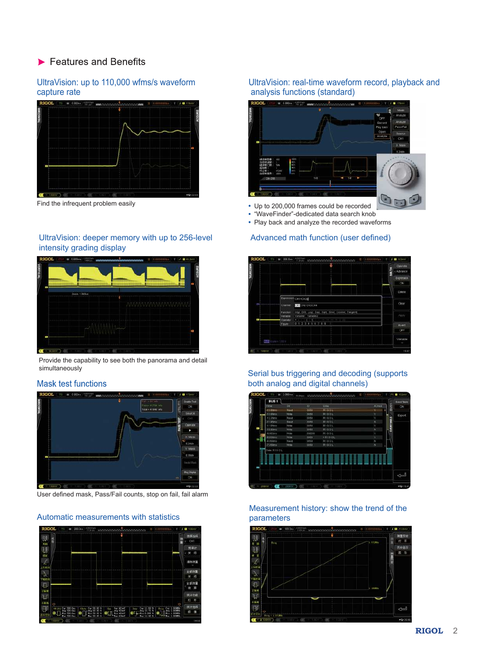### $\blacktriangleright$  Features and Benefits

### UltraVision: up to 110,000 wfms/s waveform capture rate



Find the infrequent problem easily

### UltraVision: deeper memory with up to 256-level intensity grading display



Provide the capability to see both the panorama and detail simultaneously

### **Mask test functions**



User defined mask, Pass/Fail counts, stop on fail, fail alarm

### Automatic measurements with statistics



### UltraVision: real-time waveform record, playback and analysis functions (standard)



- Up to 200,000 frames could be recorded
- "WaveFinder"-dedicated data search knob
- Play back and analyze the recorded waveforms

# Advanced math function (user defined)



### Serial bus triggering and decoding (supports both analog and digital channels)



### Measurement history: show the trend of the parameters

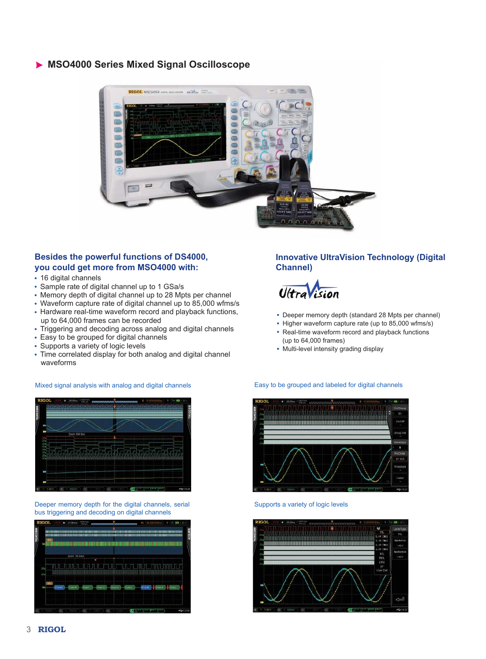### **MSO4000 Series Mixed Signal Oscilloscope**



### **Besides the powerful functions of DS4000, you could get more from MSO4000 with:**

- 16 digital channels
- Sample rate of digital channel up to 1 GSa/s
- Memory depth of digital channel up to 28 Mpts per channel
- Waveform capture rate of digital channel up to 85,000 wfms/s
- Hardware real-time waveform record and playback functions, up to 64,000 frames can be recorded
- Triggering and decoding across analog and digital channels
- Easy to be grouped for digital channels
- Supports a variety of logic levels
- Time correlated display for both analog and digital channel waveforms

### **Innovative UltraVision Technology (Digital Channel)**



- Deeper memory depth (standard 28 Mpts per channel)
- Higher waveform capture rate (up to 85,000 wfms/s)
- Real-time waveform record and playback functions (up to 64,000 frames)
- Multi-level intensity grading display

### Mixed signal analysis with analog and digital channels



Deeper memory depth for the digital channels, serial bus triggering and decoding on digital channels



### Easy to be grouped and labeled for digital channels



Supports a variety of logic levels

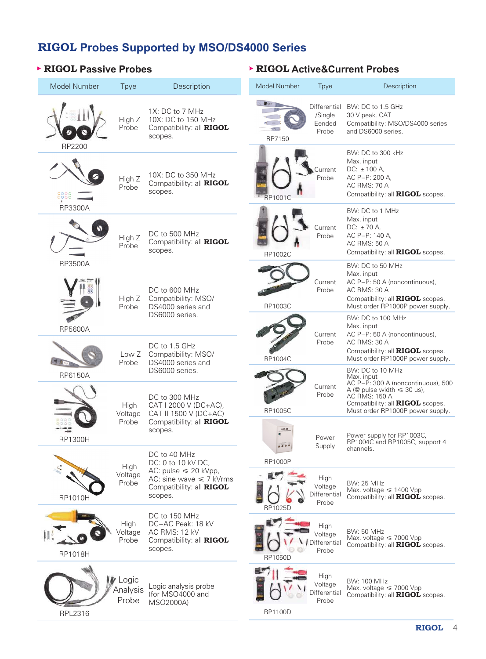# **RIGOL Probes Supported by MSO/DS4000 Series**

| Model Number                                    | Tpye                       | Description                                                                                                                            | Model Number                     |
|-------------------------------------------------|----------------------------|----------------------------------------------------------------------------------------------------------------------------------------|----------------------------------|
| RP2200                                          | High Z<br>Probe            | 1X: DC to 7 MHz<br>10X: DC to 150 MHz<br>Compatibility: all RIGOL<br>scopes.                                                           | Billett Ro<br>RP7150             |
| 0000<br><b>RP3300A</b>                          | High Z<br>Probe            | 10X: DC to 350 MHz<br>Compatibility: all RIGOL<br>scopes.                                                                              | RP1001C                          |
| <b>RP3500A</b>                                  | High Z<br>Probe            | DC to 500 MHz<br>Compatibility: all RIGOL<br>scopes.                                                                                   | RP1002C                          |
| RP5600A                                         | High Z<br>Probe            | DC to 600 MHz<br>Compatibility: MSO/<br>DS4000 series and<br>DS6000 series.                                                            | RP1003C                          |
| <b>Allege Contract of the</b><br><b>RP6150A</b> | Low Z<br>Probe             | DC to 1.5 GHz<br>Compatibility: MSO/<br>DS4000 series and<br>DS6000 series.                                                            | RP1004C                          |
| <b>RP1300H</b>                                  | High<br>Voltage<br>Probe   | DC to 300 MHz<br>CAT I 2000 V (DC+AC),<br>CAT II 1500 V (DC+AC)<br>Compatibility: all RIGOL<br>scopes.                                 | RP1005C                          |
| RP1010H                                         | High<br>Voltage<br>Probe   | DC to 40 MHz<br>DC: 0 to 10 kV DC,<br>AC: pulse $\leq 20$ kVpp,<br>AC: sine wave $\leq 7$ kVrms<br>Compatibility: all RIGOL<br>scopes. | RP1000P                          |
| RP1018H                                         | High<br>Voltage<br>Probe   | DC to 150 MHz<br>DC+AC Peak: 18 kV<br>AC RMS: 12 kV<br>Compatibility: all RIGOL<br>scopes.                                             | <b>RP1025D</b><br><b>RP1050D</b> |
| RPL2316                                         | Logic<br>Analysis<br>Probe | Logic analysis probe<br>(for MSO4000 and<br><b>MSO2000A)</b>                                                                           | RP1100D                          |

# **RIGOL Passive Probes RIGOL Active&Current Probes**

| Model Number                                  | Tpye                                       | Description                                                                                                                                                                                                    |
|-----------------------------------------------|--------------------------------------------|----------------------------------------------------------------------------------------------------------------------------------------------------------------------------------------------------------------|
| <b>B</b> Bill <b>Representation</b><br>RP7150 | Differential<br>/Single<br>Eended<br>Probe | BW: DC to 1.5 GHz<br>30 V peak, CAT I<br>Compatibility: MSO/DS4000 series<br>and DS6000 series.                                                                                                                |
| RP1001C                                       | Current<br>Probe                           | BW: DC to 300 kHz<br>Max. input<br>$DC: \pm 100$ A,<br>AC P-P: 200 A,<br>AC RMS: 70 A<br>Compatibility: all <b>RIGOL</b> scopes.                                                                               |
| RP1002C                                       | Current<br>Probe                           | BW: DC to 1 MHz<br>Max. input<br>DC: $\pm$ 70 A,<br>AC P-P: 140 A,<br>AC RMS: 50 A<br>Compatibility: all <b>RIGOL</b> scopes.                                                                                  |
| RP1003C                                       | Current<br>Probe                           | BW: DC to 50 MHz<br>Max. input<br>AC P-P: 50 A (noncontinuous),<br><b>AC RMS: 30 A</b><br>Compatibility: all <b>RIGOL</b> scopes.<br>Must order RP1000P power supply.                                          |
| RP1004C                                       | Current<br>Probe                           | BW: DC to 100 MHz<br>Max. input<br>AC P-P: 50 A (noncontinuous),<br><b>AC RMS: 30 A</b><br>Compatibility: all <b>RIGOL</b> scopes.<br>Must order RP1000P power supply.                                         |
| RP1005C                                       | Current<br>Probe                           | BW: DC to 10 MHz<br>Max. input<br>AC P-P: 300 A (noncontinuous), 500<br>A (@ pulse width $\leq 30$ us),<br><b>AC RMS: 150 A</b><br>Compatibility: all <b>RIGOL</b> scopes.<br>Must order RP1000P power supply. |
| RIGOI<br>RP1000P                              | Power<br>Supply                            | Power supply for RP1003C,<br>RP1004C and RP1005C, support 4<br>channels.                                                                                                                                       |
| RP1025D                                       | High<br>Voltage<br>Differential<br>Probe   | <b>BW: 25 MHz</b><br>Max. voltage $\leq 1400$ Vpp<br>Compatibility: all <b>RIGOL</b> scopes.                                                                                                                   |
| RP1050D                                       | High<br>Voltage<br>ifferential<br>Probe    | <b>BW: 50 MHz</b><br>Max. voltage $\leq 7000$ Vpp<br>Compatibility: all <b>RIGOL</b> scopes.                                                                                                                   |
| DD 1<br>◂                                     | High<br>Voltage<br>Differential<br>Probe   | <b>BW: 100 MHz</b><br>Max. voltage $\leq 7000$ Vpp<br>Compatibility: all <b>RIGOL</b> scopes.                                                                                                                  |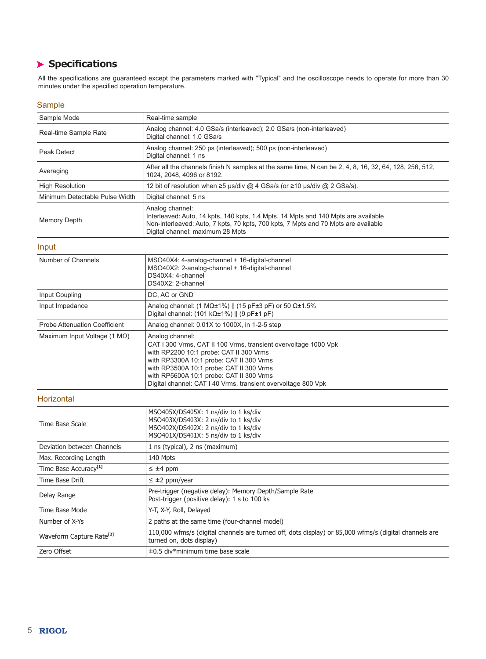# **Specifications**

All the specifications are guaranteed except the parameters marked with "Typical" and the oscilloscope needs to operate for more than 30 minutes under the specified operation temperature.

### Sample

| Sample Mode                          | Real-time sample                                                                                                                                                                                                                                                                                                                   |  |  |
|--------------------------------------|------------------------------------------------------------------------------------------------------------------------------------------------------------------------------------------------------------------------------------------------------------------------------------------------------------------------------------|--|--|
| Real-time Sample Rate                | Analog channel: 4.0 GSa/s (interleaved); 2.0 GSa/s (non-interleaved)<br>Digital channel: 1.0 GSa/s                                                                                                                                                                                                                                 |  |  |
| Peak Detect                          | Analog channel: 250 ps (interleaved); 500 ps (non-interleaved)<br>Digital channel: 1 ns                                                                                                                                                                                                                                            |  |  |
| Averaging                            | After all the channels finish N samples at the same time, N can be 2, 4, 8, 16, 32, 64, 128, 256, 512,<br>1024, 2048, 4096 or 8192.                                                                                                                                                                                                |  |  |
| <b>High Resolution</b>               | 12 bit of resolution when ≥5 µs/div @ 4 GSa/s (or ≥10 µs/div @ 2 GSa/s).                                                                                                                                                                                                                                                           |  |  |
| Minimum Detectable Pulse Width       | Digital channel: 5 ns                                                                                                                                                                                                                                                                                                              |  |  |
| <b>Memory Depth</b>                  | Analog channel:<br>Interleaved: Auto, 14 kpts, 140 kpts, 1.4 Mpts, 14 Mpts and 140 Mpts are available<br>Non-interleaved: Auto, 7 kpts, 70 kpts, 700 kpts, 7 Mpts and 70 Mpts are available<br>Digital channel: maximum 28 Mpts                                                                                                    |  |  |
| Input                                |                                                                                                                                                                                                                                                                                                                                    |  |  |
| Number of Channels                   | MSO40X4: 4-analog-channel + 16-digital-channel<br>MSO40X2: 2-analog-channel + 16-digital-channel<br>DS40X4: 4-channel<br>DS40X2: 2-channel                                                                                                                                                                                         |  |  |
| Input Coupling                       | DC, AC or GND                                                                                                                                                                                                                                                                                                                      |  |  |
| Input Impedance                      | Analog channel: (1 MΩ±1%)    (15 pF±3 pF) or 50 Ω±1.5%<br>Digital channel: (101 k $\Omega$ ±1%)    (9 pF±1 pF)                                                                                                                                                                                                                     |  |  |
| <b>Probe Attenuation Coefficient</b> | Analog channel: 0.01X to 1000X, in 1-2-5 step                                                                                                                                                                                                                                                                                      |  |  |
| Maximum Input Voltage (1 MΩ)         | Analog channel:<br>CAT I 300 Vrms, CAT II 100 Vrms, transient overvoltage 1000 Vpk<br>with RP2200 10:1 probe: CAT II 300 Vrms<br>with RP3300A 10:1 probe: CAT II 300 Vrms<br>with RP3500A 10:1 probe: CAT II 300 Vrms<br>with RP5600A 10:1 probe: CAT II 300 Vrms<br>Digital channel: CAT I 40 Vrms, transient overvoltage 800 Vpk |  |  |
| Horizontal                           |                                                                                                                                                                                                                                                                                                                                    |  |  |
| Time Base Scale                      | MSO405X/DS405X: 1 ns/div to 1 ks/div<br>MSO403X/DS403X: 2 ns/div to 1 ks/div<br>MSO402X/DS402X: 2 ns/div to 1 ks/div<br>MSO401X/DS401X: 5 ns/div to 1 ks/div                                                                                                                                                                       |  |  |
| Deviation between Channels           | 1 ns (typical), 2 ns (maximum)                                                                                                                                                                                                                                                                                                     |  |  |
| Max. Recording Length                | 140 Mpts                                                                                                                                                                                                                                                                                                                           |  |  |
| Time Base Accuracy <sup>[1]</sup>    | $\leq$ ±4 ppm                                                                                                                                                                                                                                                                                                                      |  |  |
| Time Base Drift                      | $\leq$ ±2 ppm/year                                                                                                                                                                                                                                                                                                                 |  |  |
| Delay Range                          | Pre-trigger (negative delay): Memory Depth/Sample Rate<br>Post-trigger (positive delay): 1 s to 100 ks                                                                                                                                                                                                                             |  |  |
| Time Base Mode                       | Y-T, X-Y, Roll, Delayed                                                                                                                                                                                                                                                                                                            |  |  |
| Number of X-Ys                       | 2 paths at the same time (four-channel model)                                                                                                                                                                                                                                                                                      |  |  |
| Waveform Capture Rate <sup>[2]</sup> | 110,000 wfms/s (digital channels are turned off, dots display) or 85,000 wfms/s (digital channels are<br>turned on, dots display)                                                                                                                                                                                                  |  |  |
| Zero Offset                          | ±0.5 div*minimum time base scale                                                                                                                                                                                                                                                                                                   |  |  |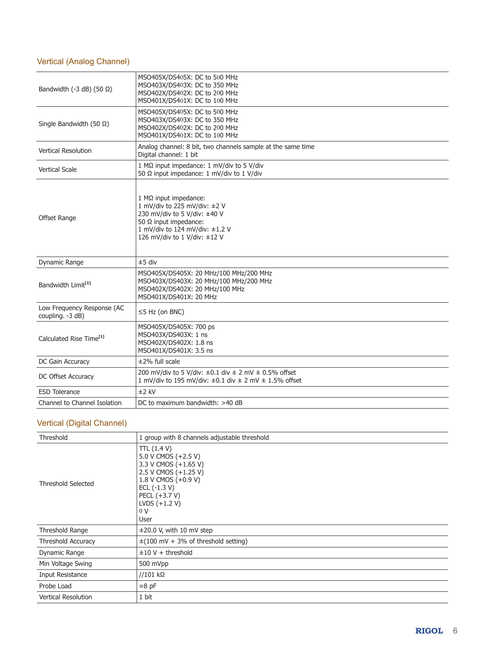# Vertical (Analog Channel)

| Bandwidth $(-3 dB)$ (50 $\Omega$ )             | MSO405X/DS405X: DC to 500 MHz<br>MSO403X/DS403X: DC to 350 MHz<br>MSO402X/DS402X: DC to 200 MHz<br>MSO401X/DS401X: DC to 100 MHz                                                      |
|------------------------------------------------|---------------------------------------------------------------------------------------------------------------------------------------------------------------------------------------|
| Single Bandwidth (50 $\Omega$ )                | MSO405X/DS405X: DC to 500 MHz<br>MSO403X/DS403X: DC to 350 MHz<br>MSO402X/DS402X: DC to 200 MHz<br>MSO401X/DS401X: DC to 100 MHz                                                      |
| <b>Vertical Resolution</b>                     | Analog channel: 8 bit, two channels sample at the same time<br>Digital channel: 1 bit                                                                                                 |
| <b>Vertical Scale</b>                          | 1 MΩ input impedance: 1 mV/div to 5 V/div<br>50 $\Omega$ input impedance: 1 mV/div to 1 V/div                                                                                         |
| <b>Offset Range</b>                            | 1 MΩ input impedance:<br>1 mV/div to 225 mV/div: $\pm$ 2 V<br>230 mV/div to 5 V/div: ±40 V<br>50 Ω input impedance:<br>1 mV/div to 124 mV/div: ±1.2 V<br>126 mV/div to 1 V/div: ±12 V |
| Dynamic Range                                  | $±5$ div                                                                                                                                                                              |
| Bandwidth Limit <sup>[1]</sup>                 | MSO405X/DS405X: 20 MHz/100 MHz/200 MHz<br>MSO403X/DS403X: 20 MHz/100 MHz/200 MHz<br>MSO402X/DS402X: 20 MHz/100 MHz<br>MSO401X/DS401X: 20 MHz                                          |
| Low Frequency Response (AC<br>coupling, -3 dB) | $\leq$ 5 Hz (on BNC)                                                                                                                                                                  |
| Calculated Rise Time <sup>[1]</sup>            | MSO405X/DS405X: 700 ps<br>MSO403X/DS403X: 1 ns<br>MSO402X/DS402X: 1.8 ns<br>MSO401X/DS401X: 3.5 ns                                                                                    |
| DC Gain Accuracy                               | $±2\%$ full scale                                                                                                                                                                     |
| DC Offset Accuracy                             | 200 mV/div to 5 V/div: $\pm 0.1$ div $\pm$ 2 mV $\pm$ 0.5% offset<br>1 mV/div to 195 mV/div: $\pm 0.1$ div $\pm$ 2 mV $\pm$ 1.5% offset                                               |
| <b>ESD Tolerance</b>                           | $±2$ kV                                                                                                                                                                               |
| Channel to Channel Isolation                   | DC to maximum bandwidth: >40 dB                                                                                                                                                       |

# Vertical (Digital Channel)

| Threshold                  | 1 group with 8 channels adjustable threshold                                                                                                                                            |
|----------------------------|-----------------------------------------------------------------------------------------------------------------------------------------------------------------------------------------|
| <b>Threshold Selected</b>  | TL(1.4 V)<br>5.0 V CMOS (+2.5 V)<br>3.3 V CMOS (+1.65 V)<br>2.5 V CMOS (+1.25 V)<br>1.8 V CMOS (+0.9 V)<br>ECL $(-1.3 V)$<br>PECL (+3.7 V)<br>$LVDS (+1.2 V)$<br>0 <sup>V</sup><br>User |
| Threshold Range            | $\pm$ 20.0 V, with 10 mV step                                                                                                                                                           |
| <b>Threshold Accuracy</b>  | $\pm$ (100 mV + 3% of threshold setting)                                                                                                                                                |
| Dynamic Range              | $±10 V + threshold$                                                                                                                                                                     |
| Min Voltage Swing          | 500 mVpp                                                                                                                                                                                |
| <b>Input Resistance</b>    | $1/101$ kΩ                                                                                                                                                                              |
| Probe Load                 | $\approx 8$ pF                                                                                                                                                                          |
| <b>Vertical Resolution</b> | 1 bit                                                                                                                                                                                   |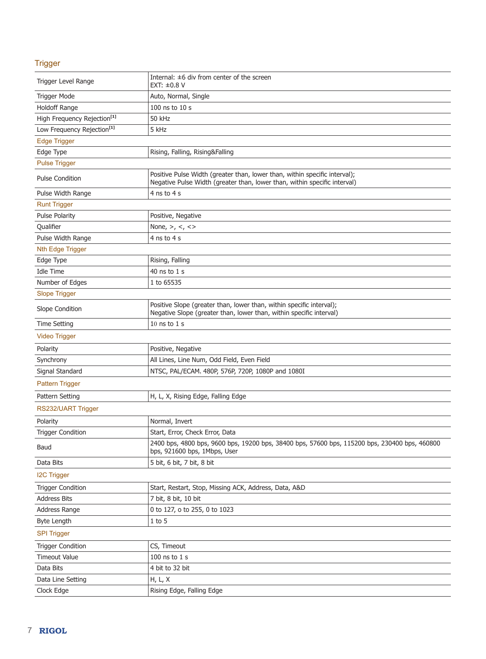# **Trigger**

| Trigger Level Range                     | Internal: $\pm 6$ div from center of the screen<br>EXT: $\pm 0.8$ V                                                                                     |
|-----------------------------------------|---------------------------------------------------------------------------------------------------------------------------------------------------------|
| <b>Trigger Mode</b>                     | Auto, Normal, Single                                                                                                                                    |
| Holdoff Range                           | 100 ns to 10 s                                                                                                                                          |
| High Frequency Rejection <sup>[1]</sup> | 50 kHz                                                                                                                                                  |
| Low Frequency Rejection <sup>[1]</sup>  | 5 kHz                                                                                                                                                   |
| <b>Edge Trigger</b>                     |                                                                                                                                                         |
| Edge Type                               | Rising, Falling, Rising&Falling                                                                                                                         |
| <b>Pulse Trigger</b>                    |                                                                                                                                                         |
| <b>Pulse Condition</b>                  | Positive Pulse Width (greater than, lower than, within specific interval);<br>Negative Pulse Width (greater than, lower than, within specific interval) |
| Pulse Width Range                       | $4$ ns to $4$ s                                                                                                                                         |
| <b>Runt Trigger</b>                     |                                                                                                                                                         |
| <b>Pulse Polarity</b>                   | Positive, Negative                                                                                                                                      |
| Qualifier                               | None, $>$ , $<$ , $<$                                                                                                                                   |
| Pulse Width Range                       | 4 ns to 4 s                                                                                                                                             |
| <b>Nth Edge Trigger</b>                 |                                                                                                                                                         |
| Edge Type                               | Rising, Falling                                                                                                                                         |
| <b>Idle Time</b>                        | 40 ns to 1 s                                                                                                                                            |
| Number of Edges                         | 1 to 65535                                                                                                                                              |
| <b>Slope Trigger</b>                    |                                                                                                                                                         |
| Slope Condition                         | Positive Slope (greater than, lower than, within specific interval);<br>Negative Slope (greater than, lower than, within specific interval)             |
| <b>Time Setting</b>                     | $10$ ns to $1$ s                                                                                                                                        |
| <b>Video Trigger</b>                    |                                                                                                                                                         |
| Polarity                                | Positive, Negative                                                                                                                                      |
| Synchrony                               | All Lines, Line Num, Odd Field, Even Field                                                                                                              |
| Signal Standard                         | NTSC, PAL/ECAM, 480P, 576P, 720P, 1080P and 1080I                                                                                                       |
| Pattern Trigger                         |                                                                                                                                                         |
| Pattern Setting                         | H, L, X, Rising Edge, Falling Edge                                                                                                                      |
| RS232/UART Trigger                      |                                                                                                                                                         |
| Polarity                                | Normal, Invert                                                                                                                                          |
| <b>Trigger Condition</b>                | Start, Error, Check Error, Data                                                                                                                         |
| Baud                                    | 2400 bps, 4800 bps, 9600 bps, 19200 bps, 38400 bps, 57600 bps, 115200 bps, 230400 bps, 460800<br>bps, 921600 bps, 1Mbps, User                           |
| Data Bits                               | 5 bit, 6 bit, 7 bit, 8 bit                                                                                                                              |
| <b>I2C Trigger</b>                      |                                                                                                                                                         |
| <b>Trigger Condition</b>                | Start, Restart, Stop, Missing ACK, Address, Data, A&D                                                                                                   |
| <b>Address Bits</b>                     | 7 bit, 8 bit, 10 bit                                                                                                                                    |
| Address Range                           | 0 to 127, o to 255, 0 to 1023                                                                                                                           |
| Byte Length                             | $1$ to $5$                                                                                                                                              |
| <b>SPI Trigger</b>                      |                                                                                                                                                         |
| <b>Trigger Condition</b>                | CS, Timeout                                                                                                                                             |
| <b>Timeout Value</b>                    | 100 ns to 1 s                                                                                                                                           |
| Data Bits                               | 4 bit to 32 bit                                                                                                                                         |
| Data Line Setting                       | H, L, X                                                                                                                                                 |
| Clock Edge                              | Rising Edge, Falling Edge                                                                                                                               |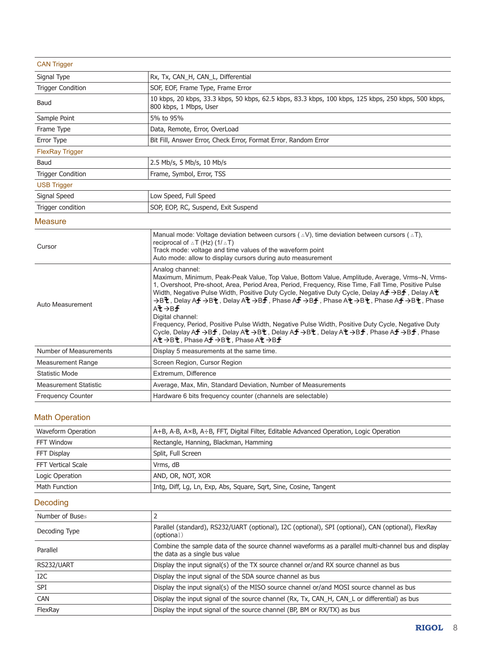| <b>CAN Trigger</b>       |                                                                                                                               |
|--------------------------|-------------------------------------------------------------------------------------------------------------------------------|
| Signal Type              | Rx, Tx, CAN_H, CAN_L, Differential                                                                                            |
| <b>Trigger Condition</b> | SOF, EOF, Frame Type, Frame Error                                                                                             |
| Baud                     | 10 kbps, 20 kbps, 33.3 kbps, 50 kbps, 62.5 kbps, 83.3 kbps, 100 kbps, 125 kbps, 250 kbps, 500 kbps,<br>800 kbps, 1 Mbps, User |
| Sample Point             | 5% to 95%                                                                                                                     |
| Frame Type               | Data, Remote, Error, OverLoad                                                                                                 |
| Error Type               | Bit Fill, Answer Error, Check Error, Format Error, Random Error                                                               |
| <b>FlexRay Trigger</b>   |                                                                                                                               |
| Baud                     | 2.5 Mb/s, 5 Mb/s, 10 Mb/s                                                                                                     |
| <b>Trigger Condition</b> | Frame, Symbol, Error, TSS                                                                                                     |
| <b>USB Trigger</b>       |                                                                                                                               |
| Signal Speed             | Low Speed, Full Speed                                                                                                         |
| Trigger condition        | SOP, EOP, RC, Suspend, Exit Suspend                                                                                           |

### **Measure**

| Cursor                       | Manual mode: Voltage deviation between cursors ( $\triangle V$ ), time deviation between cursors ( $\triangle T$ ),<br>reciprocal of $\triangle T$ (Hz) (1/ $\triangle T$ )<br>Track mode: voltage and time values of the waveform point<br>Auto mode: allow to display cursors during auto measurement                                                                                                                                                                                                                                                                                                                                                                                                                           |
|------------------------------|-----------------------------------------------------------------------------------------------------------------------------------------------------------------------------------------------------------------------------------------------------------------------------------------------------------------------------------------------------------------------------------------------------------------------------------------------------------------------------------------------------------------------------------------------------------------------------------------------------------------------------------------------------------------------------------------------------------------------------------|
| Auto Measurement             | Analog channel:<br>Maximum, Minimum, Peak-Peak Value, Top Value, Bottom Value, Amplitude, Average, Vrms-N, Vrms-<br>1, Overshoot, Pre-shoot, Area, Period Area, Period, Frequency, Rise Time, Fall Time, Positive Pulse<br>Width, Negative Pulse Width, Positive Duty Cycle, Negative Duty Cycle, Delay Af →Bf, Delay At<br>>Bt, Delay Af >Bt, Delay At >Bf, Phase Af >Bf, Phase At >Bt, Phase Af >Bt, Phase Af<br>A≹→B≸<br>Digital channel:<br>Frequency, Period, Positive Pulse Width, Negative Pulse Width, Positive Duty Cycle, Negative Duty<br>Cycle, Delay A + → B + , Delay A + → B + , Delay A + → B + , Delay A + → B + , Phase A + → B + , Phase<br>A <sup>†</sup> →B†. Phase A <del>f</del> →B†. Phase A† →B <b>f</b> |
| Number of Measurements       | Display 5 measurements at the same time.                                                                                                                                                                                                                                                                                                                                                                                                                                                                                                                                                                                                                                                                                          |
| Measurement Range            | Screen Region, Cursor Region                                                                                                                                                                                                                                                                                                                                                                                                                                                                                                                                                                                                                                                                                                      |
| Statistic Mode               | Extremum, Difference                                                                                                                                                                                                                                                                                                                                                                                                                                                                                                                                                                                                                                                                                                              |
| <b>Measurement Statistic</b> | Average, Max, Min, Standard Deviation, Number of Measurements                                                                                                                                                                                                                                                                                                                                                                                                                                                                                                                                                                                                                                                                     |
| <b>Frequency Counter</b>     | Hardware 6 bits frequency counter (channels are selectable)                                                                                                                                                                                                                                                                                                                                                                                                                                                                                                                                                                                                                                                                       |

# Math Operation

| Waveform Operation        | A+B, A-B, A×B, A+B, FFT, Digital Filter, Editable Advanced Operation, Logic Operation |
|---------------------------|---------------------------------------------------------------------------------------|
| FFT Window                | Rectangle, Hanning, Blackman, Hamming                                                 |
| FFT Display               | Split, Full Screen                                                                    |
| <b>FFT Vertical Scale</b> | Vrms, dB                                                                              |
| Logic Operation           | AND, OR, NOT, XOR                                                                     |
| Math Function             | Intg, Diff, Lg, Ln, Exp, Abs, Square, Sqrt, Sine, Cosine, Tangent                     |

### Decoding

| Number of Buses  |                                                                                                                                       |
|------------------|---------------------------------------------------------------------------------------------------------------------------------------|
| Decoding Type    | Parallel (standard), RS232/UART (optional), I2C (optional), SPI (optional), CAN (optional), FlexRay<br>(optional)                     |
| Parallel         | Combine the sample data of the source channel waveforms as a parallel multi-channel bus and display<br>the data as a single bus value |
| RS232/UART       | Display the input signal(s) of the TX source channel or/and RX source channel as bus                                                  |
| I <sub>2</sub> C | Display the input signal of the SDA source channel as bus                                                                             |
| <b>SPI</b>       | Display the input signal(s) of the MISO source channel or/and MOSI source channel as bus                                              |
| <b>CAN</b>       | Display the input signal of the source channel (Rx, Tx, CAN_H, CAN_L or differential) as bus                                          |
| FlexRay          | Display the input signal of the source channel (BP, BM or RX/TX) as bus                                                               |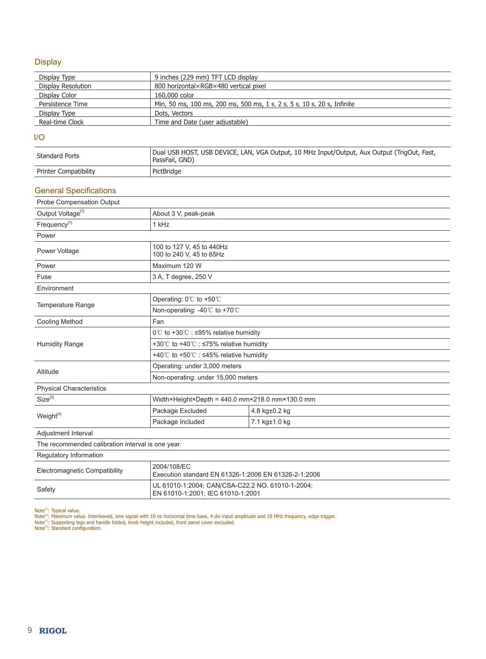### **Display**

| Display Type              | 9 inches (229 mm) TFT LCD display                                       |
|---------------------------|-------------------------------------------------------------------------|
| <b>Display Resolution</b> | 800 horizontal×RGB×480 vertical pixel                                   |
| Display Color             | 160,000 color                                                           |
| Persistence Time          | Min, 50 ms, 100 ms, 200 ms, 500 ms, 1 s, 2 s, 5 s, 10 s, 20 s, Infinite |
| Display Type              | Dots, Vectors                                                           |
| Real-time Clock           | Time and Date (user adjustable)                                         |

### I/O

| Standard Ports        | Dual USB HOST, USB DEVICE, LAN, VGA Output, 10 MHz Input/Output, Aux Output (TrigOut, Fast,<br>PassFail, GND) |
|-----------------------|---------------------------------------------------------------------------------------------------------------|
| Printer Compatibility | PictBridge                                                                                                    |

### General Specifications

| Probe Compensation Output       |                                                           |               |  |
|---------------------------------|-----------------------------------------------------------|---------------|--|
| Output Voltage <sup>[1]</sup>   | About 3 V, peak-peak                                      |               |  |
| Frequency <sup>[1]</sup>        | 1 kHz                                                     |               |  |
| Power                           |                                                           |               |  |
| Power Voltage                   | 100 to 127 V, 45 to 440Hz<br>100 to 240 V, 45 to 65Hz     |               |  |
| Power                           | Maximum 120 W                                             |               |  |
| Fuse                            | 3 A, T degree, 250 V                                      |               |  |
| Environment                     |                                                           |               |  |
| Temperature Range               | Operating: 0℃ to +50℃                                     |               |  |
|                                 | Non-operating: -40 $\degree$ C to +70 $\degree$ C         |               |  |
| <b>Cooling Method</b>           | Fan                                                       |               |  |
| <b>Humidity Range</b>           | $0^{\circ}$ to +30 $\circ$ : $\leq$ 95% relative humidity |               |  |
|                                 | +30°C to +40°C : $\leq$ 75% relative humidity             |               |  |
|                                 | +40°C to +50°C : $\leq$ 45% relative humidity             |               |  |
| Altitude                        | Operating: under 3,000 meters                             |               |  |
|                                 | Non-operating: under 15,000 meters                        |               |  |
| <b>Physical Characteristics</b> |                                                           |               |  |
| $Size^{[3]}$                    | Width×Height×Depth = 440.0 mm×218.0 mm×130.0 mm           |               |  |
| Weight <sup>[4]</sup>           | Package Excluded                                          | 4.8 kg±0.2 kg |  |
|                                 | Package Included                                          | 7.1 kg±1.0 kg |  |
| $A \cdot P = A$ $A \cdot P = A$ |                                                           |               |  |

Adjustment Interval

The recommended calibration interval is one year.

| Regulatory Information        |                                                                                       |  |  |  |
|-------------------------------|---------------------------------------------------------------------------------------|--|--|--|
| Electromagnetic Compatibility | 2004/108/EC<br>Execution standard EN 61326-1:2006 EN 61326-2-1:2006                   |  |  |  |
| Safety                        | UL 61010-1:2004; CAN/CSA-C22.2 NO. 61010-1-2004;<br>EN 61010-1:2001; IEC 61010-1:2001 |  |  |  |

Note<sup>(1)</sup>: Typical value.<br>Note<sup>[2]</sup>: Maximum value. Interleaved, sine signal with 10 ns horizontal time base, 4 div input amplitude and 10 MHz frequency, edge trigger.<br>Note<sup>[3]</sup>: Supporting legs and handle folded, knob hei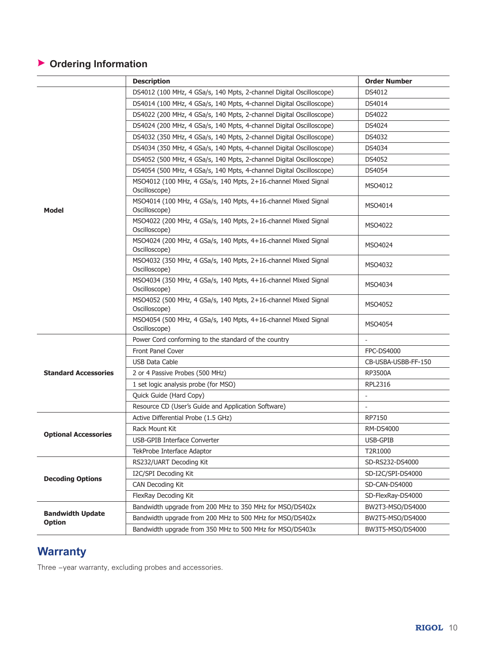# **Ordering Information**

|                                          | <b>Description</b>                                                              | <b>Order Number</b> |
|------------------------------------------|---------------------------------------------------------------------------------|---------------------|
|                                          | DS4012 (100 MHz, 4 GSa/s, 140 Mpts, 2-channel Digital Oscilloscope)             | DS4012              |
|                                          | DS4014 (100 MHz, 4 GSa/s, 140 Mpts, 4-channel Digital Oscilloscope)             | DS4014              |
|                                          | DS4022 (200 MHz, 4 GSa/s, 140 Mpts, 2-channel Digital Oscilloscope)             | DS4022              |
|                                          | DS4024 (200 MHz, 4 GSa/s, 140 Mpts, 4-channel Digital Oscilloscope)             | DS4024              |
|                                          | DS4032 (350 MHz, 4 GSa/s, 140 Mpts, 2-channel Digital Oscilloscope)             | DS4032              |
|                                          | DS4034 (350 MHz, 4 GSa/s, 140 Mpts, 4-channel Digital Oscilloscope)             | DS4034              |
|                                          | DS4052 (500 MHz, 4 GSa/s, 140 Mpts, 2-channel Digital Oscilloscope)             | DS4052              |
|                                          | DS4054 (500 MHz, 4 GSa/s, 140 Mpts, 4-channel Digital Oscilloscope)             | DS4054              |
| <b>Model</b>                             | MSO4012 (100 MHz, 4 GSa/s, 140 Mpts, 2+16-channel Mixed Signal<br>Oscilloscope) | MSO4012             |
|                                          | MSO4014 (100 MHz, 4 GSa/s, 140 Mpts, 4+16-channel Mixed Signal<br>Oscilloscope) | MSO4014             |
|                                          | MSO4022 (200 MHz, 4 GSa/s, 140 Mpts, 2+16-channel Mixed Signal<br>Oscilloscope) | MSO4022             |
|                                          | MSO4024 (200 MHz, 4 GSa/s, 140 Mpts, 4+16-channel Mixed Signal<br>Oscilloscope) | MSO4024             |
|                                          | MSO4032 (350 MHz, 4 GSa/s, 140 Mpts, 2+16-channel Mixed Signal<br>Oscilloscope) | MSO4032             |
|                                          | MSO4034 (350 MHz, 4 GSa/s, 140 Mpts, 4+16-channel Mixed Signal<br>Oscilloscope) | MSO4034             |
|                                          | MSO4052 (500 MHz, 4 GSa/s, 140 Mpts, 2+16-channel Mixed Signal<br>Oscilloscope) | MSO4052             |
|                                          | MSO4054 (500 MHz, 4 GSa/s, 140 Mpts, 4+16-channel Mixed Signal<br>Oscilloscope) | MSO4054             |
|                                          | Power Cord conforming to the standard of the country                            |                     |
|                                          | Front Panel Cover                                                               | <b>FPC-DS4000</b>   |
| <b>Standard Accessories</b>              | <b>USB Data Cable</b>                                                           | CB-USBA-USBB-FF-150 |
|                                          | 2 or 4 Passive Probes (500 MHz)                                                 | <b>RP3500A</b>      |
|                                          | 1 set logic analysis probe (for MSO)                                            | <b>RPL2316</b>      |
|                                          | Quick Guide (Hard Copy)                                                         |                     |
|                                          | Resource CD (User's Guide and Application Software)                             |                     |
|                                          | Active Differential Probe (1.5 GHz)                                             | RP7150              |
| <b>Optional Accessories</b>              | Rack Mount Kit                                                                  | <b>RM-DS4000</b>    |
|                                          | USB-GPIB Interface Converter                                                    | USB-GPIB            |
|                                          | TekProbe Interface Adaptor                                                      | T2R1000             |
| <b>Decoding Options</b>                  | RS232/UART Decoding Kit                                                         | SD-RS232-DS4000     |
|                                          | I2C/SPI Decoding Kit                                                            | SD-I2C/SPI-DS4000   |
|                                          | CAN Decoding Kit                                                                | SD-CAN-DS4000       |
|                                          | FlexRay Decoding Kit                                                            | SD-FlexRay-DS4000   |
| <b>Bandwidth Update</b><br><b>Option</b> | Bandwidth upgrade from 200 MHz to 350 MHz for MSO/DS402x                        | BW2T3-MSO/DS4000    |
|                                          | Bandwidth upgrade from 200 MHz to 500 MHz for MSO/DS402x                        | BW2T5-MSO/DS4000    |
|                                          | Bandwidth upgrade from 350 MHz to 500 MHz for MSO/DS403x                        | BW3T5-MSO/DS4000    |

# **Warranty**

Three -year warranty, excluding probes and accessories.